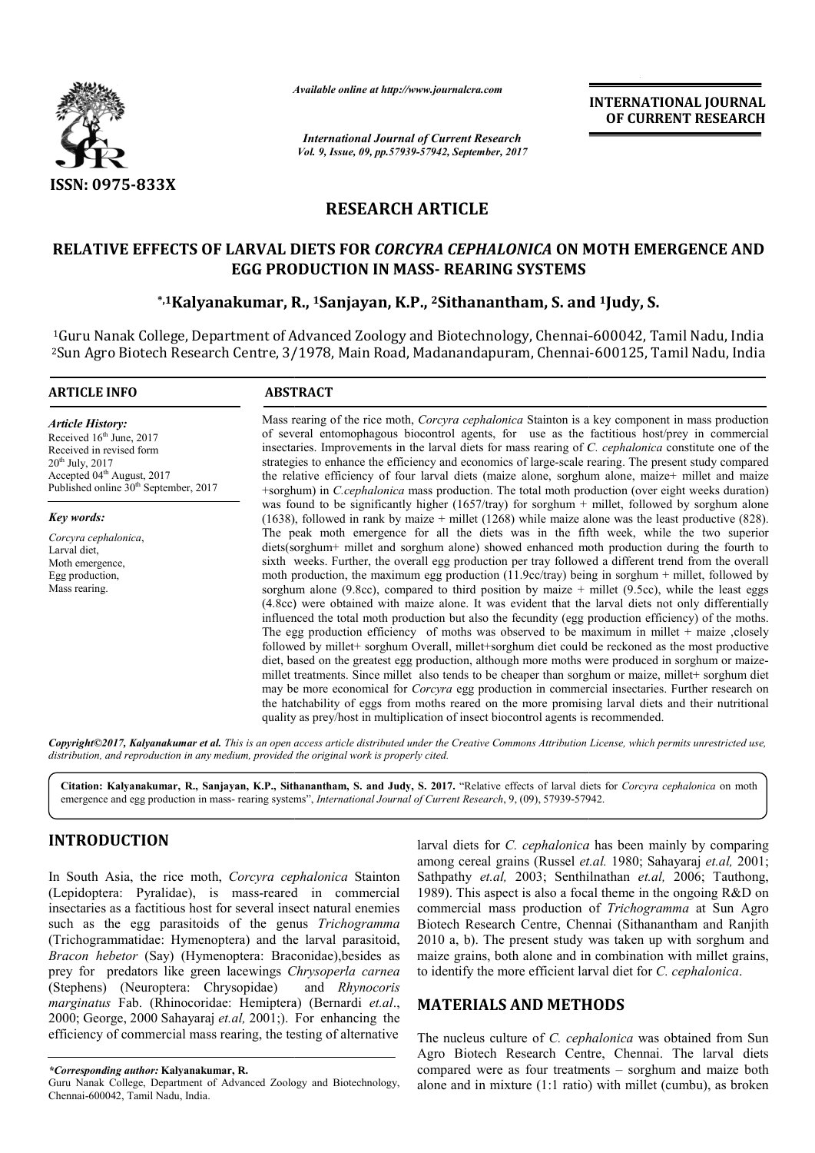

*Available online at http://www.journal http://www.journalcra.com*

*International Journal of Current Research Vol. 9, Issue, 09, pp.57939-57942, September, 2017* **INTERNATIONAL JOURNAL OF CURRENT RESEARCH** 

# **RESEARCH ARTICLE**

# **RELATIVE EFFECTS OF LARVAL DIETS FOR** *CORCYRA CEPHALONICA* **ON MOTH EMERGENCE AND EGG PRODUCTION IN MASS MASS- REARING SYSTEMS** ECTS OF LARVAL DIETS FOR *CORCYRA CEPHALONICA* ON MOTH EM:<br>EGG PRODUCTION IN MASS- REARING SYSTEMS<br><sup>\*,1</sup>Kalyanakumar, R., <sup>1</sup>Sanjayan, K.P., <sup>2</sup>Sithanantham, S. and <sup>1</sup>Judy, S.

<sup>1</sup>Guru Nanak College, Department of Advanced Zoology and Biotechnology, Chennai-600042, Tamil Nadu, India 2Sun Agro Biotech Research Centre, 3/1978, Main Road, Madanandapuram, Chennai Chennai-600125, Tamil Nadu, India

#### **ARTICLE INFO ABSTRACT**

*Article History:* Received 16<sup>th</sup> June, 2017 Received in revised form 20th July, 2017 Accepted 04<sup>th</sup> August, 2017 Published online  $30<sup>th</sup>$  September, 2017

*Key words: Corcyra cephalonica*, Larval diet, Moth emergence, Egg production, Mass rearing.

Mass rearing of the rice moth, *Corcyra cephalonica* Stainton is a key component in mass production Mass rearing of the rice moth, *Corcyra cephalonica* Stainton is a key component in mass production of several entomophagous biocontrol agents, for use as the factitious host/prey in commercial insectaries. Improvements in the larval diets for mass rearing of *C. cephalonica* constitute one of the strategies to enhance the efficiency and economics of large-scale rearing. The present study compared the relative efficiency of four larval diets (maize alone, sorghum alone, maize+ millet and maize +sorghum) in *C.cephalonica* mass production. The total moth production (over eight weeks duration) was found to be significantly higher (1657/tray) for sorghum + millet, followed by sorghum alone  $(1638)$ , followed in rank by maize + millet  $(1268)$  while maize alone was the least productive  $(828)$ . The peak moth emergence for all the diets was in the fifth week, while the two superior diets(sorghum+ millet and sorghum alone) showed enhanced moth production during the fourth to sixth weeks. Further, the overall egg production per tray followed a different trend from the overall moth production, the maximum egg production (11.9cc/tray) being in sorghum + millet, followed by sorghum alone (9.8cc), compared to third position by maize  $+$  millet (9.5cc), while the least eggs (4.8cc) were obtained with maize alone. It was evident that the larval diets not only differentially influenced the total moth production but also the fecundity (egg production efficiency) of the moths. The egg production efficiency of moths was observed to be maximum in millet + maize , closely followed by millet+ sorghum Overall, millet+sorghum diet could be reckoned as the most productive followed by millet+ sorghum Overall, millet+sorghum diet could be reckoned as the most productive diet, based on the greatest egg production, although more moths were produced in sorghum or maizemillet treatments. Since millet also tends to be cheaper than sorghum or maize, millet+ sorghum diet may be more economical for *Corcyra* egg production in commercial insectaries. Further research on the hatchability of eggs from moths reared on the more promising larval diets and th quality as prey/host in multiplication of insect biocontrol agents is recommended. strategies to enhance the efficiency and economics of large-scale rearing. The present study compared<br>the relative efficiency of four larval diets (maize alone, sorghum alone, maize+ millet and maize<br>+sorghum) in *C.cephal* The peak moth emergence for all the diets was in the fifth week, while the two superior diets(sorghum+ millet and sorghum alone) showed enhanced moth production during the fourth to sixth weeks. Further, the overall egg p millet treatments. Since millet also tends to be cheaper than sorghum or maize, millet+ sorghum diet may be more economical for *Corcyra* egg production in commercial insectaries. Further research on the hatchability of eg **RNATIONAL JOURNAL CURRENT RESEARCH**<br> **CURRENT RESEARCH**<br> **CURRENT RESEARCH**<br> **CURRENT RESEARCH**<br> **CURRENT RESEARCH**<br> **CURRENT RESEARCH**<br> **CURRENT RESEARCH**<br> **CURRENT RESEARCH**<br> **CURRENT RESEARCH**<br> **CURRENT RESEARCH**<br> **CU** 

*Copyright©2017, Kalyanakumar et al. This is an open access article distributed under the Creative Commons Att Attribution License, which ribution permits unrestricted use, distribution, and reproduction in any medium, provided the original work is properly cited.*

**Citation: Kalyanakumar, R., Sanjayan, K.P., Sithanantham, S. and Judy, S. 2017.** "Relative effects of larval diets for Relative *Corcyra cephalonica* on moth emergence and egg production in mass- rearing systems", *International Journal of Current Research*, 9, (09), 57939-57942.

# **INTRODUCTION**

In South Asia, the rice moth, *Corcyra cephalonica* Stainton (Lepidoptera: Pyralidae), is mass-reared in commercial insectaries as a factitious host for several insect natural enemies such as the egg parasitoids of the genus *Trichogramma* (Trichogrammatidae: Hymenoptera) and the larval parasitoid, *Bracon hebetor* (Say) (Hymenoptera: Braconidae),besides as prey for predators like green lacewings *Chrysoperla carnea* (Stephens) (Neuroptera: Chrysopidae) *marginatus* Fab. (Rhinocoridae: Hemiptera) (Bernardi *et.al*., 2000; George, 2000 Sahayaraj *et.al,* 2001;). For enhancing the efficiency of commercial mass rearing, the testing of alternative *Rhynocoris* 

larval diets for *C. cephalonica* has been mainly by comparing among cereal grains (Russel *et.al.* 1980; Sahayaraj *et.al*, 2001; Sathpathy *et.al,* 2003; Senthilnathan *et.al,* 2006; Tauthong, 1989). This aspect is also a focal theme in the ongoing R&D on 1989). This aspect is also a focal theme in the ongoing R&D on commercial mass production of *Trichogramma* at Sun Agro Biotech Research Centre, Chennai (Sithanantham and Ranjith 2010 a, b). The present study was taken up with sorghum and maize grains, both alone and in combination with millet grains, to identify the more efficient larval diet for C. cephalonica. Biotech Research Centre, Chennai (Sithanantham and Ra 2010 a, b). The present study was taken up with sorghum maize grains, both alone and in combination with millet gto identify the more efficient larval diet for *C. ceph* 

# **MATERIALS AND METHODS**

The nucleus culture of *C. cephalonica* was obtained from Sun Agro Biotech Research Centre, Chennai. The larval diets compared were as four treatments - sorghum and maize both alone and in mixture (1:1 ratio) with millet (cumbu), as broken

*<sup>\*</sup>Corresponding author:* **Kalyanakumar, R.**

Guru Nanak College, Department of Advanced Zoology and Biotechnology, Chennai-600042, Tamil Nadu, India.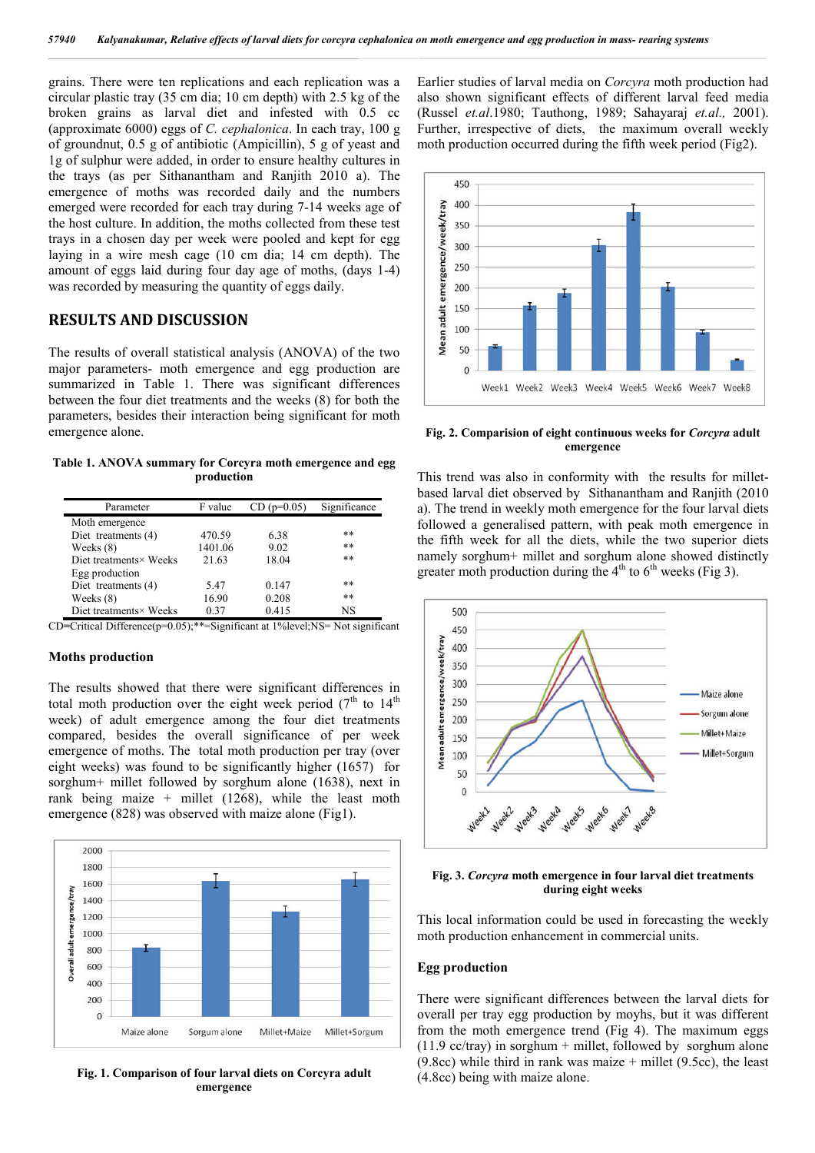grains. There were ten replications and each replication was a circular plastic tray (35 cm dia; 10 cm depth) with 2.5 kg of the broken grains as larval diet and infested with 0.5 cc (approximate 6000) eggs of *C. cephalonica*. In each tray, 100 g of groundnut, 0.5 g of antibiotic (Ampicillin), 5 g of yeast and 1g of sulphur were added, in order to ensure healthy cultures in the trays (as per Sithanantham and Ranjith 2010 a). The emergence of moths was recorded daily and the numbers emerged were recorded for each tray during 7-14 weeks age of the host culture. In addition, the moths collected from these test trays in a chosen day per week were pooled and kept for egg laying in a wire mesh cage (10 cm dia; 14 cm depth). The amount of eggs laid during four day age of moths, (days 1-4) was recorded by measuring the quantity of eggs daily.

## **RESULTS AND DISCUSSION**

The results of overall statistical analysis (ANOVA) of the two major parameters- moth emergence and egg production are summarized in Table 1. There was significant differences between the four diet treatments and the weeks (8) for both the parameters, besides their interaction being significant for moth emergence alone.

**Table 1. ANOVA summary for Corcyra moth emergence and egg production**

| Parameter              | F value | $CD (p=0.05)$ | Significance |
|------------------------|---------|---------------|--------------|
| Moth emergence         |         |               |              |
| Diet treatments (4)    | 470.59  | 6.38          | **           |
| Weeks $(8)$            | 1401.06 | 9.02          | $***$        |
| Diet treatments× Weeks | 21.63   | 18.04         | $***$        |
| Egg production         |         |               |              |
| Diet treatments (4)    | 5.47    | 0.147         | $***$        |
| Weeks (8)              | 16.90   | 0.208         | $***$        |
| Diet treatments× Weeks | 0.37    | 0.415         | NS           |

CD**=**Critical Difference(p=0.05);\*\*=Significant at 1%level;NS= Not significant

#### **Moths production**

The results showed that there were significant differences in total moth production over the eight week period ( $7<sup>th</sup>$  to  $14<sup>th</sup>$ week) of adult emergence among the four diet treatments compared, besides the overall significance of per week emergence of moths. The total moth production per tray (over eight weeks) was found to be significantly higher (1657) for sorghum+ millet followed by sorghum alone (1638), next in rank being maize + millet  $(1268)$ , while the least moth emergence (828) was observed with maize alone (Fig1).



**Fig. 1. Comparison of four larval diets on Corcyra adult emergence**

Earlier studies of larval media on *Corcyra* moth production had also shown significant effects of different larval feed media (Russel *et.al*.1980; Tauthong, 1989; Sahayaraj *et.al.,* 2001). Further, irrespective of diets, the maximum overall weekly moth production occurred during the fifth week period (Fig2).



**Fig. 2. Comparision of eight continuous weeks for** *Corcyra* **adult emergence**

This trend was also in conformity with the results for milletbased larval diet observed by Sithanantham and Ranjith (2010 a). The trend in weekly moth emergence for the four larval diets followed a generalised pattern, with peak moth emergence in the fifth week for all the diets, while the two superior diets namely sorghum+ millet and sorghum alone showed distinctly greater moth production during the  $4<sup>th</sup>$  to  $6<sup>th</sup>$  weeks (Fig 3).



**Fig. 3.** *Corcyra* **moth emergence in four larval diet treatments during eight weeks**

This local information could be used in forecasting the weekly moth production enhancement in commercial units.

### **Egg production**

There were significant differences between the larval diets for overall per tray egg production by moyhs, but it was different from the moth emergence trend (Fig 4). The maximum eggs (11.9 cc/tray) in sorghum + millet, followed by sorghum alone  $(9.8cc)$  while third in rank was maize + millet  $(9.5cc)$ , the least (4.8cc) being with maize alone.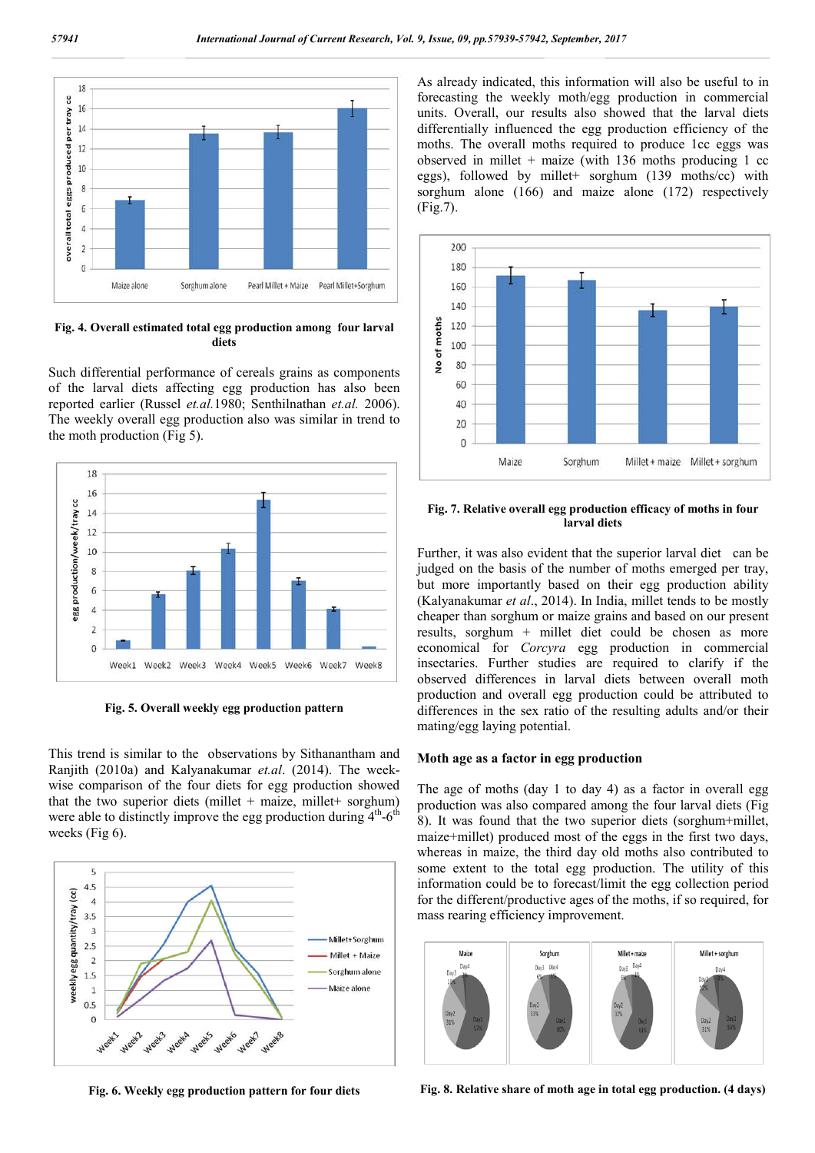

**Fig. 4. Overall estimated total egg production among four larval diets**

Such differential performance of cereals grains as components of the larval diets affecting egg production has also been reported earlier (Russel *et.al.*1980; Senthilnathan *et.al.* 2006). The weekly overall egg production also was similar in trend to the moth production (Fig 5).



**Fig. 5. Overall weekly egg production pattern**

This trend is similar to the observations by Sithanantham and Ranjith (2010a) and Kalyanakumar *et.al*. (2014). The weekwise comparison of the four diets for egg production showed that the two superior diets (millet + maize, millet + sorghum) were able to distinctly improve the egg production during  $4<sup>th</sup>$ -6<sup>th</sup> weeks (Fig 6).



As already indicated, this information will also be useful to in forecasting the weekly moth/egg production in commercial units. Overall, our results also showed that the larval diets differentially influenced the egg production efficiency of the moths. The overall moths required to produce 1cc eggs was observed in millet  $+$  maize (with 136 moths producing 1 cc eggs), followed by millet+ sorghum (139 moths/cc) with sorghum alone (166) and maize alone (172) respectively (Fig.7).



#### **Fig. 7. Relative overall egg production efficacy of moths in four larval diets**

Further, it was also evident that the superior larval diet can be judged on the basis of the number of moths emerged per tray. but more importantly based on their egg production ability (Kalyanakumar *et al*., 2014). In India, millet tends to be mostly cheaper than sorghum or maize grains and based on our present results, sorghum + millet diet could be chosen as more economical for *Corcyra* egg production in commercial insectaries. Further studies are required to clarify if the observed differences in larval diets between overall moth production and overall egg production could be attributed to differences in the sex ratio of the resulting adults and/or their mating/egg laying potential.

#### **Moth age as a factor in egg production**

The age of moths (day 1 to day 4) as a factor in overall egg production was also compared among the four larval diets (Fig 8). It was found that the two superior diets (sorghum+millet, maize+millet) produced most of the eggs in the first two days, whereas in maize, the third day old moths also contributed to some extent to the total egg production. The utility of this information could be to forecast/limit the egg collection period for the different/productive ages of the moths, if so required, for mass rearing efficiency improvement.



**Fig. 6. Weekly egg production pattern for four diets**

**Fig. 8. Relative share of moth age in total egg production. (4 days)**